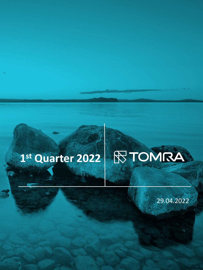## R TOMRA **1 st Quarter 2022**

29.04.2022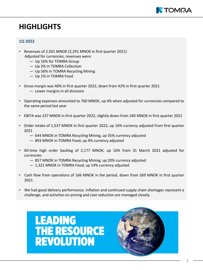

## **HIGHLIGHTS**

### **1Q 2022**

- Revenues of 2,501 MNOK (2,291 MNOK in first quarter 2021) Adjusted for currencies, revenues were:
	- Up 10% for TOMRA Group
	- Up 3% in TOMRA Collection
	- Up 56% in TOMRA Recycling Mining
	- Up 1% in TOMRA Food
- Gross margin was 40% in first quarter 2022, down from 42% in first quarter 2021 — Lower margins in all divisions
- Operating expenses amounted to 760 MNOK, up 4% when adjusted for currencies compared to the same period last year
- EBITA was 237 MNOK in first quarter 2022, slightly down from 240 MNOK in first quarter 2021
- Order intake of 1,537 MNOK in first quarter 2022, up 16% currency adjusted from first quarter 2021
	- 644 MNOK in TOMRA Recycling Mining, up 35% currency adjusted
	- 893 MNOK in TOMRA Food, up 4% currency adjusted
- All-time high order backlog of 2,177 MNOK, up 16% from 31 March 2021 adjusted for currencies
	- 857 MNOK in TOMRA Recycling Mining, up 20% currency adjusted
	- 1,321 MNOK in TOMRA Food, up 14% currency adjusted
- Cash flow from operations of 166 MNOK in the period, down from 269 MNOK in first quarter 2021
- We had good delivery performance. Inflation and continued supply chain shortages represent a challenge, and activities on pricing and cost reduction are managed closely.



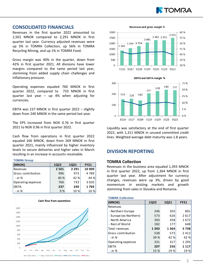

#### **CONSOLIDATED FINANCIALS**

Revenues in the first quarter 2022 amounted to 2,501 MNOK compared to 2,291 MNOK in first quarter last year. Currency adjusted revenues were up 3% in TOMRA Collection, up 56% in TOMRA Recycling Mining, and up 1% in TOMRA Food.

Gross margin was 40% in the quarter, down from 42% in first quarter 2021. All divisions have lower margins compared to the same period last year, stemming from added supply chain challenges and inflationary pressure.

Operating expenses equaled 760 MNOK in first quarter 2022, compared to 733 MNOK in first quarter last year – up 4% when adjusting for currencies.

EBITA was 237 MNOK in first quarter 2022 – slightly down from 240 MNOK in the same period last year.

The EPS increased from NOK 0.76 in first quarter 2021 to NOK 0.96 in first quarter 2022.

Cash flow from operations in first quarter 2022 equaled 166 MNOK, down from 269 MNOK in first quarter 2021, mainly influenced by higher inventory levels to secure deliveries and higher sales in March resulting in an increase in accounts receivable.

#### **TOMRA Group**

| (MNOK)             | <b>1Q22</b> | 1Q21    | <b>FY21</b> |
|--------------------|-------------|---------|-------------|
| Revenues           | 2 5 0 1     | 2 2 9 1 | 10 909      |
| Gross contribution | 996         | 973     | 4789        |
| $-$ in $%$         | 40 %        | 42 %    | 44 %        |
| Operating expenses | 760         | 733     | 3 0 2 0     |
| EBITA              | 237         | 240     | 1769        |
| - in %             | 9%          | 10%     | 16 %        |



Revenues and gross margin %





Liquidity was satisfactory at the end of first quarter 2022, with 1,311 MNOK in unused committed credit lines. Weighted average debt maturity was 1.8 years.

#### **DIVISION REPORTING**

#### **TOMRA Collection**

Revenues in the business area equaled 1,393 MNOK in first quarter 2022, up from 1,364 MNOK in first quarter last year. After adjustment for currency changes, revenues were up 3%, driven by good momentum in existing markets and growth stemming from sales in Slovakia and Romania.

#### **TOMRA Collection**

| (MNOK)                 | 1Q22 | 1Q21 | <b>FY21</b> |
|------------------------|------|------|-------------|
| Revenues               |      |      |             |
| - Northern Europe      | 246  | 203  | 801         |
| - Europe (ex Northern) | 573  | 626  | 2617        |
| - North America        | 393  | 358  | 1672        |
| - Rest of World        | 182  | 177  | 648         |
| Total revenues         | 1393 | 1364 | 5738        |
| Gross contribution     | 538  | 573  | 2412        |
| - in %                 | 39 % | 42 % | 42 %        |
| Operating expenses     | 331  | 317  | 1 2 9 5     |
| EBITA                  | 207  | 256  | 1 1 1 7     |
| - in %                 | 15 % | 19%  | 19 %        |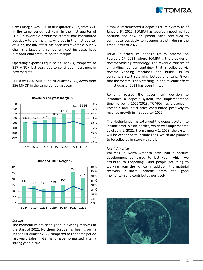

Gross margin was 39% in first quarter 2022, from 42% in the same period last year. In the first quarter of 2021, a favorable product/customer mix contributed positively to the margins, whereas in the first quarter of 2022, the mix effect has been less favorable. Supply chain shortages and component cost increases have put additional pressure on the margins.

Operating expenses equaled 331 MNOK, compared to 317 MNOK last year, due to continued investment in new markets.

EBITA was 207 MNOK in first quarter 2022, down from 256 MNOK in the same period last year.



**EBITA and EBITA margin %** 



#### *Europe*

The momentum has been good in existing markets at the start of 2022. Northern Europe has been growing in the first quarter 2022 compared to the same period last year. Sales in Germany have normalized after a strong year in 2021.

Slovakia implemented a deposit return system as of January 1<sup>st</sup>, 2022. TOMRA has secured a good market position and new equipment sales continued to contribute positively to revenue growth during the first quarter of 2022.

Latvia launched its deposit return scheme on February 1<sup>st</sup>, 2022, where TOMRA is the provider of reverse vending technology. The revenue consists of a handling fee per container that is collected via reverse vending machines and builds up as consumers start returning bottles and cans. Given that the system is only starting up, the revenue effect in first quarter 2022 has been limited.

Romania passed the government decision to introduce a deposit system, the implementation timeline being 2022/2023. TOMRA has presence in Romania and initial sales contributed positively to revenue growth in first quarter 2022.

The Netherlands has extended the deposit system to include small plastic bottles, which was implemented as of July 1, 2021. From January 1, 2023, the system will be expanded to include cans, which are planned to be collected in-store via retail.

#### *North America*

Volumes in North America have had a positive development compared to last year, which we attribute to reopening and people returning to working from the office. In addition, the material recovery business benefits from the good momentum and contributed positively.

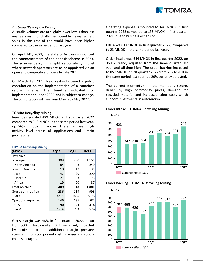

#### *Australia (Rest of the World)*

Australia volumes are at slightly lower levels than last year as a result of challenges posed by heavy rainfall. Sales in the rest of the world have been higher compared to the same period last year.

On April 14<sup>th</sup>, 2021, the state of Victoria announced the commencement of the deposit scheme in 2023. The scheme design is a split responsibility model where network operators are to be appointed via an open and competitive process by late 2022.

On March 13, 2022, New Zealand opened a public consultation on the implementation of a container return scheme. The timeline indicated for implementation is for 2025 and is subject to change. The consultation will run from March to May 2022.

#### **TOMRA Recycling Mining**

Revenues equaled 489 MNOK in first quarter 2022 compared to 318 MNOK in the same period last year, up 56% in local currencies. There has been high activity level across all applications and main geographies.

#### **TOMRA Recycling Mining**

| (MNOK)             | <b>1Q22</b> | 1Q21 | <b>FY21</b> |
|--------------------|-------------|------|-------------|
| Revenues           |             |      |             |
| - Europe           | 309         | 200  | 1 1 5 1     |
| - North America    | 84          | 48   | 249         |
| - South America    | 10          | 17   | 31          |
| - Asia             | 47          | 30   | 290         |
| - Oceania          | 21          | 3    | 73          |
| - Africa           | 19          | 20   | 87          |
| Total revenues     | 489         | 318  | 1881        |
| Gross contribution | 236         | 159  | 996         |
| - in %             | 48 %        | 50 % | 53 %        |
| Operating expenses | 146         | 136  | 582         |
| EBITA              | 90          | 23   | 414         |
| - in %             | 18 %        | 7 %  | 22 %        |

Gross margin was 48% in first quarter 2022, down from 50% in first quarter 2021, negatively impacted by project mix and additional margin pressure stemming from component cost increases and supply chain shortages.

Operating expenses amounted to 146 MNOK in first quarter 2022 compared to 136 MNOK in first quarter 2021, due to business expansion.

EBITA was 90 MNOK in first quarter 2022, compared to 23 MNOK in the same period last year.

Order intake was 644 MNOK in first quarter 2022, up 35% currency adjusted from the same quarter last year and all-time high. The order backlog increased to 857 MNOK in first quarter 2022 from 732 MNOK in the same period last year, up 20% currency adjusted.

The current momentum in the market is strong, driven by high commodity prices, demand for recycled material and increased labor costs which support investments in automation.

#### **Order Intake – TOMRA Recycling Mining**





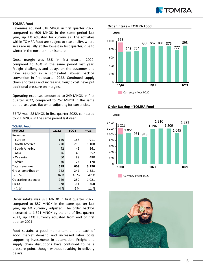

#### **TOMRA Food**

Revenues equaled 618 MNOK in first quarter 2022, compared to 609 MNOK in the same period last year, up 1% adjusted for currencies. The activities within TOMRA Food are subject to seasonality, where sales are usually at the lowest in first quarter, due to winter in the northern hemisphere.

Gross margin was 36% in first quarter 2022, compared to 40% in the same period last year. Freight challenges and delays on the customer end have resulted in a somewhat slower backlog conversion in first quarter 2022. Continued supply chain shortages and increasing freight cost have put additional pressure on margins.

Operating expenses amounted to 249 MNOK in first quarter 2022, compared to 252 MNOK in the same period last year, flat when adjusting for currencies.

EBITA was -28 MNOK in first quarter 2022, compared to -11 MNOK in the same period last year.

#### **TOMRA Food**

| (MNOK)             | 1Q22  | 1Q21  | <b>FY21</b> |
|--------------------|-------|-------|-------------|
| Revenues           |       |       |             |
| - Europe           | 140   | 188   | 911         |
| - North America    | 270   | 215   | 1 1 0 8     |
| - South America    | 42    | 45    | 261         |
| - Asia             | 76    | 48    | 352         |
| - Oceania          | 60    | 89    | 480         |
| - Africa           | 30    | 24    | 178         |
| Total revenues     | 618   | 609   | 3 2 9 0     |
| Gross contribution | 222   | 241   | 1381        |
| - in %             | 36 %  | 40 %  | 42 %        |
| Operating expenses | 249   | 252   | 1021        |
| EBITA              | $-28$ | -11   | 360         |
| - in %             | $-4%$ | $-2%$ | 11 %        |

Order intake was 893 MNOK in first quarter 2022, compared to 887 MNOK in the same quarter last year, up 4% currency adjusted. The order backlog increased to 1,321 MNOK by the end of first quarter 2022, up 14% currency adjusted from end of first quarter 2021.

Food sustains a good momentum on the back of good market demand and increased labor costs supporting investments in automation. Freight and supply chain disruptions have continued to be a pressure point, though without resulting in delivery delays.

#### **Order Intake – TOMRA Food**

**Order Backlog – TOMRA Food**





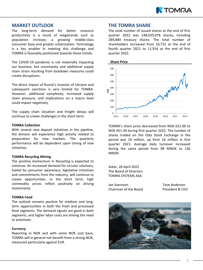

#### **MARKET OUTLOOK**

The long-term demand for better resource productivity is a result of megatrends such as population increase, a growing middle-class consumer base and greater urbanization. Technology is a key enabler in meeting this challenge and TOMRA is favorably positioned towards these trends.

The COVID-19 pandemic is not materially impacting our business, but uncertainty and additional supply chain strain resulting from lockdown measures could create disruptions.

The direct impact of Russia's invasion of Ukraine and subsequent sanctions is very limited for TOMRA. However, additional complexity, increased supply chain pressure, and implications on a macro level could impact negatively.

The supply chain situation and freight delays will continue to create challenges in the short-term.

#### **TOMRA Collection**

With several new deposit initiatives in the pipeline, the division will experience high activity related to preparation for new markets. The quarterly performance will be dependent upon timing of new initiatives.

#### **TOMRA Recycling Mining**

The positive momentum in Recycling is expected to continue. An increased demand for circular solutions, fueled by consumer awareness, legislative initiatives and commitments from the industry, will continue to create opportunities. In the short term, high commodity prices reflect positively on driving investments.

#### **TOMRA Food**

The outlook remains positive for medium and longterm opportunities in both the fresh and processed food segments. The demand signals are good in both segments, and higher labor costs are driving the need to automate.

#### **Currency**

Reporting in NOK and with some NOK cost base, TOMRA will in general not benefit from a strong NOK, measured particularly against EUR.

#### **THE TOMRA SHARE**

The total number of issued shares at the end of first quarter 2022 was 148,020,078 shares, including 289,884 treasury shares. The total number of shareholders increased from 10,731 at the end of fourth quarter 2021 to 11,916 at the end of first quarter 2022.



TOMRA's share price decreased from NOK 631.00 to NOK 451.30 during first quarter 2022. The number of shares traded on the Oslo Stock Exchange in the period was 19 million, up from 16 million in first quarter 2021. Average daily turnover increased during the same period from 98 MNOK to 136 MNOK.

Asker, 28 April 2022 The Board of Directors TOMRA SYSTEMS ASA

Jan Svensson Tove Andersen Chairman of the Board President & CEO

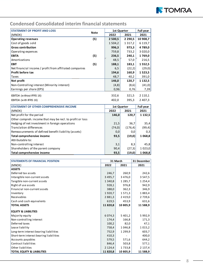

### **Condensed Consolidated interim financial statements**

| <b>STATEMENT OF PROFIT AND LOSS</b>                     |             | 1st Quarter |             | Full year   |
|---------------------------------------------------------|-------------|-------------|-------------|-------------|
| (MNOK)                                                  | <b>Note</b> | 2022        | 2021        | 2021        |
| <b>Operating revenues</b>                               | (5)         | 2 500,5     | 2 2 9 0 , 5 | 10 908,7    |
| Cost of goods sold                                      |             | 1 5 0 4 , 2 | 1 3 1 7 , 2 | 6 1 1 9 , 7 |
| <b>Gross contribution</b>                               |             | 996,3       | 973,3       | 4 7 8 9 , 0 |
| Operating expenses                                      |             | 759,8       | 733,2       | 3 0 2 0 , 0 |
| <b>EBITA</b>                                            | (5)         | 236,5       | 240,1       | 1769,0      |
| Amortizations                                           |             | 48,5        | 57,0        | 216,5       |
| <b>EBIT</b>                                             | (5)         | 188,1       | 183,1       | 1 5 5 2 , 5 |
| Net financial income / profit from affiliated companies |             | 6,5         | (22,2)      | (29,0)      |
| Profit before tax                                       |             | 194,6       | 160,9       | 1523,5      |
| Taxes                                                   |             | 48,7        | 40,2        | 391,0       |
| Net profit                                              |             | 146,0       | 120,7       | 1 132,5     |
| Non-Controlling interest (Minority interest)            |             | (4,8)       | (8,6)       | (41,0)      |
| Earnings per share (EPS)                                |             | 0,96        | 0,76        | 7,39        |
| EBITDA (without IFRS 16)                                |             | 332,6       | 321,5       | 2 1 1 0 , 1 |
| EBITDA (with IFRS 16)                                   |             | 402,0       | 395,3       | 2 4 0 7 , 3 |
| <b>STATEMENT OF OTHER COMPREHENSIVE INCOME</b>          |             | 1st Quarter |             | Full year   |
| (MNOK)                                                  |             | 2022        | 2021        | 2021        |
|                                                         |             |             |             |             |

| (MNOK)                                                    | 2022    | 2021     | 2021        |
|-----------------------------------------------------------|---------|----------|-------------|
| Net profit for the period                                 | 146.0   | 120,7    | 1132,5      |
| Other compreh. income that may be recl. to profit or loss |         |          |             |
| Hedging of net investment in foreign operations           | 21,5    | 36,7     | 35,4        |
| Translation differences                                   | (74, 0) | (176, 4) | (99,4)      |
| Remeasurements of defined benefit liability (assets)      | 0,0     | 0,0      | 0,3         |
| Total comprehensive income                                | 93,5    | (19,0)   | 1 0 68,8    |
| Attributable to:                                          |         |          |             |
| Non-controlling interest                                  | 3,1     | 8,3      | 45,8        |
| Shareholders of the parent company                        | 90,4    | (27,3)   | 1 0 2 3 , 0 |
| Total comprehensive income                                | 93,5    | (19,0)   | 1 0 68,8    |

| <b>STATEMENTS OF FINANCIAL POSITION</b> | 31 March    |             | 31 December |
|-----------------------------------------|-------------|-------------|-------------|
| (MNOK)                                  | 2022        | 2021        | 2021        |
| <b>ASSETS</b>                           |             |             |             |
| Deferred tax assets                     | 246,7       | 260,9       | 242,6       |
| Intangible non-current assets           | 3 4 9 5 , 7 | 3 4 7 6 , 0 | 3 5 4 7 , 5 |
| Tangible non-current assets             | 1 340,8     | 1 2 8 5 , 7 | 1 2 5 4 , 4 |
| Right of use assets                     | 928,1       | 976,8       | 942,9       |
| Financial non-current assets            | 388,0       | 362,3       | 346,9       |
| Inventory                               | 1920,7      | 1571,3      | 1883,4      |
| Receivables                             | 2 8 8 1 , 3 | 2 4 1 9 , 0 | 2 7 3 9,6   |
| Cash and cash equivalents               | 619,5       | 453,9       | 631,6       |
| <b>TOTAL ASSETS</b>                     | 11 820,8    | 10 805,9    | 11 588,9    |
| <b>EQUITY &amp; LIABILITIES</b>         |             |             |             |
| Majority equity                         | 6 0 7 4 , 3 | 5 4 0 1 , 2 | 5992,9      |
| Non-controlling interest                | 174,4       | 166,8       | 171,3       |
| Deferred taxes                          | 100,2       | 82,0        | 47,1        |
| Lease liability                         | 758,4       | 1 046,8     | 1 0 1 5 , 2 |
| Long-term interest bearing liabilities  | 752,9       | 1 2 9 9, 9  | 603,7       |
| Short-term interest bearing liabilities | 410,3       |             | 400,0       |
| Accounts payables                       | 579,5       | 571,6       | 644,2       |
| Contract liabilities                    | 846,4       | 503,8       | 577,1       |
| Other liabilities                       | 2 1 2 4 .4  | 1733,8      | 2 137,4     |
| <b>TOTAL EQUITY &amp; LIABILITIES</b>   | 11 820,8    | 10 805,9    | 11 588,9    |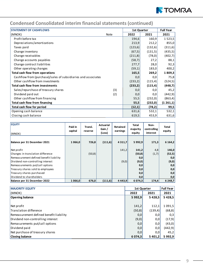

| <b>STATEMENT OF CASHFLOWS</b>                                 |      | 1st Quarter |          | <b>Full Year</b> |
|---------------------------------------------------------------|------|-------------|----------|------------------|
| (MNOK)                                                        | Note | 2022        | 2021     | 2021             |
| Profit before tax                                             |      | 194,6       | 160,9    | 1 5 2 3 , 5      |
| Depreciations/amortizations                                   |      | 213,9       | 212,2    | 855,0            |
| Taxes paid                                                    |      | (123,6)     | (132,6)  | (311,6)          |
| Change inventory                                              |      | (67, 5)     | (131,5)  | (435,5)          |
| Change receivables                                            |      | (211,8)     | (78, 0)  | (402,7)          |
| Change accounts payables                                      |      | (58,7)      | 27,2     | 88,1             |
| Change contract liabilities                                   |      | 277,7       | 28,0     | 92,3             |
| Other operating changes                                       |      | (59,1)      | 183,0    | 400,2            |
| Total cash flow from operations                               |      | 165,5       | 269,2    | 1809,3           |
| Cashflow from (purchase)/sales of subsidiaries and associates |      | 0,0         | 0,0      | 75,8             |
| Other cashflow from investments                               |      | (233,2)     | (115,4)  | (524, 5)         |
| Total cash flow from investments                              |      | (233,2)     | (115, 4) | (448,7)          |
| Sales/repurchase of treasury shares                           | (3)  | 0,0         | 0,0      | 45,2             |
| Dividend paid out                                             | (2)  | 0,0         | 0,0      | (442, 9)         |
| Other cashflow from financing                                 |      | 55,5        | (232,0)  | (863,4)          |
| Total cash flow from financing                                |      | 55,5        | (232,0)  | (1261,1)         |
| Total cash flow for period                                    |      | (12,1)      | (78,2)   | 99,5             |
| Opening cash balance                                          |      | 631,6       | 532,1    | 532,1            |
| Closing cash balance                                          |      | 619,5       | 453,9    | 631,6            |

| <b>EQUITY</b><br>(MNOK)                 | Paid in<br>capital | Transl.<br>reserve | Actuarial<br>Gain /<br>(Loss) | Retained<br>earnings | Total<br>majority<br>equity | Non-<br>controlling<br>interest | Total<br>equity |
|-----------------------------------------|--------------------|--------------------|-------------------------------|----------------------|-----------------------------|---------------------------------|-----------------|
| Balance per 31 December 2021            | 1066,0             | 726,8              | (111,6)                       | 4 3 1 1 , 7          | 5 9 9 2, 9                  | 171,3                           | 6164,2          |
| Net profit                              |                    |                    |                               | 141,2                | 141,2                       | 4,8                             | 146,0           |
| Changes in translation difference       |                    | (50, 8)            |                               |                      | (50, 8)                     | (1,7)                           | (52,5)          |
| Remeasurement defined benefit liability |                    |                    |                               |                      | 0,0                         |                                 | 0,0             |
| Dividend non-controlling interest       |                    |                    |                               | (9,0)                | (9, 0)                      |                                 | (9, 0)          |
| Remeasurements put/call options         |                    |                    |                               |                      | 0,0                         |                                 | 0,0             |
| Treasury shares sold to employees       |                    |                    |                               |                      | 0,0                         |                                 | 0,0             |
| Treasury shares purchased               |                    |                    |                               |                      | 0,0                         |                                 | 0,0             |
| Dividend to shareholders                |                    |                    |                               |                      | 0,0                         |                                 | 0,0             |
| Balance per 31 December 2022            | 1 066,0            | 676,0              | (111,6)                       | 4 4 4 3 .9           | 6 0 7 4 .3                  | 174,4                           | 6 248.7         |

| <b>MAJORITY EQUITY</b>                  | <b>1st Quarter</b> |           | <b>Full Year</b> |
|-----------------------------------------|--------------------|-----------|------------------|
| (MNOK)                                  | 2022               | 2021      | 2021             |
| <b>Opening balance</b>                  | 5992,9             | 5428.5    | 5428,5           |
|                                         |                    |           |                  |
| Net profit                              | 141,2              | 112,1     | 1091,5           |
| Translation difference                  | (50, 8)            | (139,4)   | (68, 8)          |
| Remeasurement defined benefit liability | 0,0                | 0,0       | 0,3              |
| Dividend non-controlling interest       | (9,0)              | 0,0       | (17,9)           |
| Remasurements put/call options          | 0,0                | 0,0       | (43,0)           |
| Dividend paid                           | 0,0                | 0,0       | (442, 9)         |
| Net purchase of treasury shares         | 0,0                | 0,0       | 45,2             |
| <b>Closing balance</b>                  | 6 0 7 4 .3         | 5 4 0 1,2 | 5992,9           |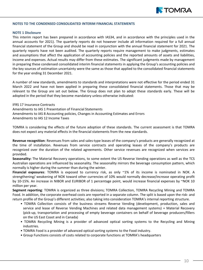

#### **NOTES TO THE CONDENSED CONSOLIDATED INTERIM FINANCIAL STATEMENTS**

#### **NOTE 1 Disclosure**

This interim report has been prepared in accordance with IAS34, and in accordance with the principles used in the annual accounts for 2021). The quarterly reports do not however include all information required for a full annual financial statement of the Group and should be read in conjunction with the annual financial statement for 2021. The quarterly reports have not been audited. The quarterly reports require management to make judgments, estimates and assumptions that affect the application of accounting policies and the reported amounts of assets and liabilities, income and expenses. Actual results may differ from these estimates. The significant judgments made by management in preparing these condensed consolidated interim financial statements in applying the Group's accounting policies and the key sources of estimation uncertainty were the same as those that applied to the consolidated financial statements for the year ending 31 December 2021.

A number of new standards, amendments to standards and interpretations were not effective for the period ended 31 March 2022 and have not been applied in preparing these consolidated financial statements. Those that may be relevant to the Group are set out below. The Group does not plan to adopt these standards early. These will be adopted in the period that they become mandatory unless otherwise indicated:

IFRS 17 Insurance Contracts Amendments to IAS 1 Presentation of Financial Statements Amendments to IAS 8 Accounting policies, Changes in Accounting Estimates and Errors Amendments to IAS 12 Income Taxes

TOMRA is considering the effects of the future adoption of these standards. The current assessment is that TOMRA does not expect any material effects in the financial statements from the new standards.

**Revenue recognition**: Revenues from sales and sales-type leases of the company's products are generally recognized at the time of installation. Revenues from service contracts and operating leases of the company's products are recognized over the duration of the related agreements. Other service revenues are recognized when services are provided.

**Seasonality:** The Material Recovery operations, to some extent the US Reverse Vending operations as well as the TCS Australian operations are influenced by seasonality. The seasonality mirrors the beverage consumption pattern, which normally is higher during the summer than during the winter.

**Financial exposures**: TOMRA is exposed to currency risk, as only ~1% of its income is nominated in NOK. A strengthening/ weakening of NOK toward other currencies of 10% would normally decrease/increase operating profit by 10-15%. An increase in NIBOR and EURIBOR of 1 percentage point, would increase financial expenses by ~NOK 10 million per year.

**Segment reporting**: TOMRA is organized as three divisions; TOMRA Collection, TOMRA Recycling Mining and TOMRA Food. In addition, the corporate overhead costs are reported in a separate column. The split is based upon the risk- and return profile of the Group's different activities; also taking into consideration TOMRA's internal reporting structure.

- TOMRA Collection consists of the business streams Reverse Vending (development, production, sales and service and lease of Reverse Vending Machines and related data management systems) + Material Recovery (pick-up, transportation and processing of empty beverage containers on behalf of beverage producers/fillers on the US East Coast and in Canada)
- TOMRA Recycling Mining is a provider of advanced optical sorting systems to the Recycling and Mining industries.
- TOMRA Food is a provider of advanced optical sorting systems to the Food industry.
- Group Functions consists of costs related to corporate functions at TOMRA's headquarters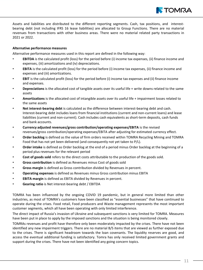

Assets and liabilities are distributed to the different reporting segments. Cash, tax positions, and interestbearing debt (not including IFRS 16 lease liabilities) are allocated to Group Functions. There are no material revenues from transactions with other business areas. There were no material related party transactions in 2021 or 2022.

#### **Alternative performance measures**

Alternative performance measures used in this report are defined in the following way:

- **EBITDA** is the calculated profit (loss) for the period before (i) income tax expenses, (ii) finance income and expenses, (iii) amortizations and (iv) depreciations.
- **EBITA** is the calculated profit (loss) for the period before (i) income tax expenses, (ii) finance income and expenses and (iii) amortizations.
- **EBIT** is the calculated profit (loss) for the period before (i) income tax expenses and (ii) finance income and expenses.
- **Depreciations** is the allocated cost of tangible assets over its useful life + write downs related to the same assets
- **Amortizations** is the allocated cost of intangible assets over its useful life + impairment losses related to the same assets
- **Net interest-bearing debt** is calculated as the difference between interest-bearing debt and cash. Interest-bearing debt includes loans from financial institutions (current and non-current loans) and lease liabilities (current and non-current). Cash includes cash equivalents as short-term deposits, cash funds and bank accounts.
- **Currency adjusted revenues/gross contribution/operating expenses/EBITA** is the revised revenues/gross contribution/operating expenses/EBITA after adjusting for estimated currency effect.
- **Order backlog** is defined as the value of firm orders received within TOMRA Recycling Mining and TOMRA Food that has not yet been delivered (and consequently not yet taken to P/L).
- **Order intake** is defined as Order backlog at the end of a period minus Order backlog at the beginning of a period plus revenues for the relevant period
- **Cost of goods sold** refers to the direct costs attributable to the production of the goods sold.
- **Gross contribution** is defined as Revenues minus Cost of goods sold
- **Gross margin** is defined as Gross contribution divided by Revenues in percent.
- **Operating expenses** is defined as Revenues minus Gross contribution minus EBITA
- **EBITA margin** is defined as EBITA divided by Revenues in percent.
- **Gearing ratio** is Net interest-bearing debt / EBITDA

TOMRA has been influenced by the ongoing COVID 19 pandemic, but in general more limited than other industries, as most of TOMRA's customers have been classified as "essential businesses" that have continued to operate during the crises. Food retail, Food producers and Waste management represents the most important customer segments, which all have been operating with only limited interference.

The direct impact of Russia's invasion of Ukraine and subsequent sanctions is very limited for TOMRA. Measures have been put in place to apply by the imposed sanctions and the situation is being monitored closely.

TOMRAs revenues and profit have therefore only been moderately impacted by the crises. There have not been identified any new impairment triggers. There are no material B/S items that are viewed as further exposed due to the crises. There is significant headroom towards the loan covenants. The liquidity reserves are good, and access the eventual additional funding is satisfactory. Tomra has only received limited government grants and support during the crises. There have not been identified any going concern topics.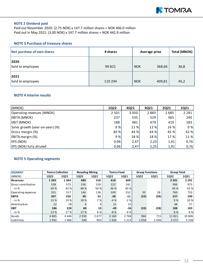

#### **NOTE 2 Dividend paid**

Paid out November 2020: (2.75 NOK) x 147.7 million shares = NOK 406.0 million Paid out in May 2021: (3.00 NOK) x 147.7 million shares = NOK 442.9 million

#### **NOTE 3 Purchase of treasury shares**

| Net purchase of own shares | # shares | Average price        | Total (MNOK) |
|----------------------------|----------|----------------------|--------------|
| 2020<br>Sold to employees  | 99 821   | <b>NOK</b><br>368,66 | 36,8         |
| 2021<br>Sold to employees  | 110 294  | <b>NOK</b><br>409,81 | 45,2         |

#### **NOTE 4 Interim results**

| (MNOK)                          | 1Q22    | 4Q21 | 3Q21 | <b>2Q21</b> | 1Q21    |
|---------------------------------|---------|------|------|-------------|---------|
| Operating revenues (MNOK)       | 2 5 0 1 | 3050 | 2883 | 2685        | 2 2 9 1 |
| EBITA (MNOK)                    | 237     | 535  | 529  | 465         | 240     |
| <b>EBIT (MNOK)</b>              | 188     | 481  | 479  | 410         | 183     |
| Sales growth (year-on-year) (%) | 9%      | 11 % | 12 % | 16 %        | 0%      |
| Gross margin (%)                | 40 %    | 44 % | 44 % | 45 %        | 42 %    |
| <b>EBITA margin (%)</b>         | 9%      | 18 % | 18 % | 17 %        | 11 %    |
| <b>EPS (NOK)</b>                | 0,96    | 2,47 | 2,25 | 1,91        | 0,76    |
| EPS (NOK) fully diluted         | 0,96    | 2,47 | 2,25 | 1,91        | 0,76    |

#### **NOTE 5 Operating segments**

| <b>SEGMENT</b>     | <b>Tomra Collection</b> |                 | <b>Recycling Mining</b> |      | <b>Tomra Food</b> |         | <b>Group Functions</b> |      | <b>Group Total</b> |         |
|--------------------|-------------------------|-----------------|-------------------------|------|-------------------|---------|------------------------|------|--------------------|---------|
| (MNOK)             | <b>1Q22</b>             | 1Q21            | <b>1Q22</b>             | 1Q21 | <b>1Q22</b>       | 1Q21    | <b>1Q22</b>            | 1Q21 | 1Q22               | 1Q21    |
| Revenues           | 1393                    | 1 3 6 4         | 489                     | 318  | 618               | 609     |                        |      | 2 5 0 1            | 2 2 9 1 |
| Gross contribution | 538                     | 573             | 236                     | 159  | 222               | 241     |                        |      | 996                | 973     |
| $-$ in $%$         | 39 %                    | 42 %            | 48 %                    | 50 % | 36 %              | 40 %    |                        |      | 40 %               | 42 %    |
| Operating expenses | 331                     | 317             | 146                     | 136  | 249               | 252     | 33                     | 28   | 760                | 733     |
| <b>EBITA</b>       | 207                     | 256             | 90                      | 23   | $-28$             | $-11$   | (33)                   | (28) | 237                | 240     |
| $-$ in $%$         | 15 %                    | 19 %            | 18 %                    | 7 %l | $-4%$             | $-2%$   |                        |      | 9%                 | 10 %    |
| Amortization       | 22                      | 28              | 6                       | 4    | 21                | 25      |                        |      | 48                 | 57      |
| <b>EBIT</b>        | 186                     | 228             | 84                      | 19   | $-49$             | -36     | (33)                   | (28) | 188                | 183     |
| $-$ in $%$         | 13 %                    | 17 <sup>%</sup> | 17 %                    | 6 %  | $-8%$             | $-6%$   |                        |      | 8 %                | 8 %     |
| Assets             | 4865                    | 4 6 4 6         | 2930                    | 2677 | 3 1 6 0           | 2768    | 866                    | 715  | 11821              | 10806   |
| Liabilities        | 1942                    | 1986            | 546                     | 403  | 1426              | 1 2 1 3 | 1658                   | 1636 | 5 5 7 2            | 5 2 3 8 |